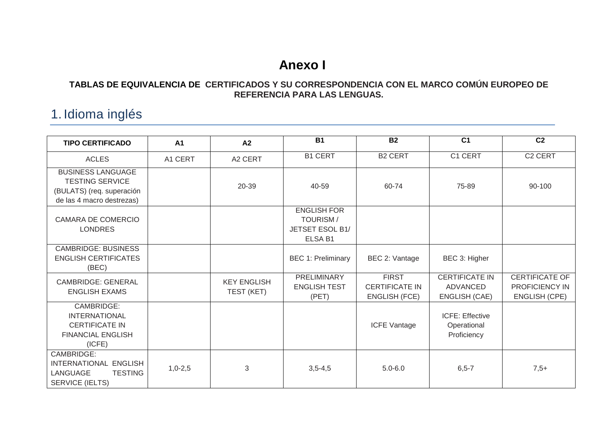# **Anexo I**

#### **TABLAS DE EQUIVALENCIA DE CERTIFICADOS Y SU CORRESPONDENCIA CON EL MARCO COMÚN EUROPEO DE REFERENCIA PARA LAS LENGUAS.**

## 1. Idioma inglés

| <b>TIPO CERTIFICADO</b>                                                                                      | A <sub>1</sub> | A <sub>2</sub>                   | <b>B1</b>                                                           | <b>B2</b>                                                     | C <sub>1</sub>                                                   | C <sub>2</sub>                                                  |
|--------------------------------------------------------------------------------------------------------------|----------------|----------------------------------|---------------------------------------------------------------------|---------------------------------------------------------------|------------------------------------------------------------------|-----------------------------------------------------------------|
| <b>ACLES</b>                                                                                                 | A1 CERT        | A2 CERT                          | <b>B1 CERT</b>                                                      | <b>B2 CERT</b>                                                | C1 CERT                                                          | C <sub>2</sub> CERT                                             |
| <b>BUSINESS LANGUAGE</b><br><b>TESTING SERVICE</b><br>(BULATS) (req. superación<br>de las 4 macro destrezas) |                | 20-39                            | 40-59                                                               | 60-74                                                         | 75-89                                                            | 90-100                                                          |
| <b>CAMARA DE COMERCIO</b><br><b>LONDRES</b>                                                                  |                |                                  | <b>ENGLISH FOR</b><br><b>TOURISM/</b><br>JETSET ESOL B1/<br>ELSA B1 |                                                               |                                                                  |                                                                 |
| <b>CAMBRIDGE: BUSINESS</b><br><b>ENGLISH CERTIFICATES</b><br>(BEC)                                           |                |                                  | <b>BEC 1: Preliminary</b>                                           | BEC 2: Vantage                                                | BEC 3: Higher                                                    |                                                                 |
| <b>CAMBRIDGE: GENERAL</b><br><b>ENGLISH EXAMS</b>                                                            |                | <b>KEY ENGLISH</b><br>TEST (KET) | PRELIMINARY<br><b>ENGLISH TEST</b><br>(PET)                         | <b>FIRST</b><br><b>CERTIFICATE IN</b><br><b>ENGLISH (FCE)</b> | <b>CERTIFICATE IN</b><br><b>ADVANCED</b><br><b>ENGLISH (CAE)</b> | <b>CERTIFICATE OF</b><br>PROFICIENCY IN<br><b>ENGLISH (CPE)</b> |
| CAMBRIDGE:<br><b>INTERNATIONAL</b><br><b>CERTIFICATE IN</b><br><b>FINANCIAL ENGLISH</b><br>(ICFE)            |                |                                  |                                                                     | <b>ICFE Vantage</b>                                           | <b>ICFE: Effective</b><br>Operational<br>Proficiency             |                                                                 |
| CAMBRIDGE:<br>INTERNATIONAL ENGLISH<br><b>TESTING</b><br>LANGUAGE<br>SERVICE (IELTS)                         | $1,0-2,5$      | 3                                | $3,5-4,5$                                                           | $5.0 - 6.0$                                                   | $6, 5 - 7$                                                       | $7,5+$                                                          |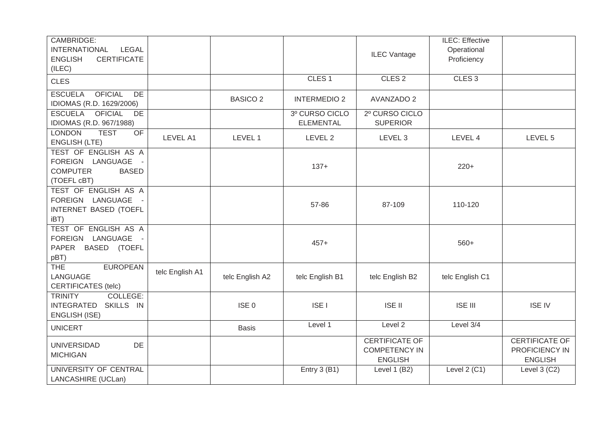| CAMBRIDGE:<br><b>INTERNATIONAL</b><br><b>LEGAL</b><br><b>ENGLISH</b><br><b>CERTIFICATE</b><br>(ILEC) |                 |                  |                                    | <b>ILEC Vantage</b>                                             | ILEC: Effective<br>Operational<br>Proficiency |                                                    |
|------------------------------------------------------------------------------------------------------|-----------------|------------------|------------------------------------|-----------------------------------------------------------------|-----------------------------------------------|----------------------------------------------------|
| <b>CLES</b>                                                                                          |                 |                  | CLES <sub>1</sub>                  | CLES <sub>2</sub>                                               | CLES <sub>3</sub>                             |                                                    |
| <b>ESCUELA</b><br><b>OFICIAL</b><br>DE<br>IDIOMAS (R.D. 1629/2006)                                   |                 | <b>BASICO 2</b>  | <b>INTERMEDIO 2</b>                | <b>AVANZADO 2</b>                                               |                                               |                                                    |
| <b>OFICIAL</b><br><b>ESCUELA</b><br>DE<br>IDIOMAS (R.D. 967/1988)                                    |                 |                  | 3º CURSO CICLO<br><b>ELEMENTAL</b> | 2º CURSO CICLO<br><b>SUPERIOR</b>                               |                                               |                                                    |
| <b>LONDON</b><br><b>TEST</b><br><b>OF</b><br><b>ENGLISH (LTE)</b>                                    | LEVEL A1        | LEVEL 1          | LEVEL 2                            | LEVEL 3                                                         | LEVEL 4                                       | LEVEL 5                                            |
| TEST OF ENGLISH AS A<br>FOREIGN LANGUAGE -<br><b>COMPUTER</b><br><b>BASED</b><br>(TOEFL cBT)         |                 |                  | $137+$                             |                                                                 | $220+$                                        |                                                    |
| TEST OF ENGLISH AS A<br>FOREIGN LANGUAGE<br>INTERNET BASED (TOEFL<br>iBT)                            |                 |                  | 57-86                              | 87-109                                                          | 110-120                                       |                                                    |
| TEST OF ENGLISH AS A<br>FOREIGN LANGUAGE -<br>PAPER BASED (TOEFL<br>pBT)                             |                 |                  | $457+$                             |                                                                 | $560+$                                        |                                                    |
| <b>EUROPEAN</b><br><b>THE</b><br>LANGUAGE<br><b>CERTIFICATES (telc)</b>                              | telc English A1 | telc English A2  | telc English B1                    | telc English B2                                                 | telc English C1                               |                                                    |
| COLLEGE:<br><b>TRINITY</b><br><b>INTEGRATED</b><br>SKILLS IN<br><b>ENGLISH (ISE)</b>                 |                 | ISE <sub>0</sub> | <b>ISE I</b>                       | <b>ISE II</b>                                                   | <b>ISE III</b>                                | <b>ISE IV</b>                                      |
| <b>UNICERT</b>                                                                                       |                 | <b>Basis</b>     | Level 1                            | Level 2                                                         | Level 3/4                                     |                                                    |
| <b>UNIVERSIDAD</b><br>DE<br><b>MICHIGAN</b>                                                          |                 |                  |                                    | <b>CERTIFICATE OF</b><br><b>COMPETENCY IN</b><br><b>ENGLISH</b> |                                               | CERTIFICATE OF<br>PROFICIENCY IN<br><b>ENGLISH</b> |
| UNIVERSITY OF CENTRAL<br>LANCASHIRE (UCLan)                                                          |                 |                  | Entry 3 (B1)                       | Level 1 (B2)                                                    | Level $2$ (C1)                                | Level $3$ (C2)                                     |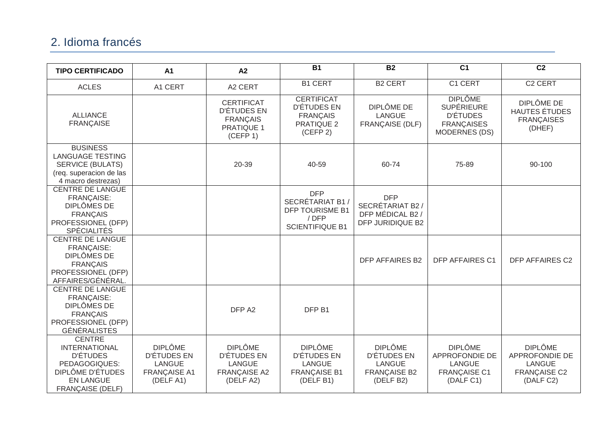### 2. Idioma francés

| <b>TIPO CERTIFICADO</b>                                                                                                                      | A <sub>1</sub>                                                                     | A2                                                                                          | $\overline{B1}$                                                                             | $\overline{B2}$                                                                    | $\overline{C1}$                                                                                     | $\overline{C2}$                                                                       |
|----------------------------------------------------------------------------------------------------------------------------------------------|------------------------------------------------------------------------------------|---------------------------------------------------------------------------------------------|---------------------------------------------------------------------------------------------|------------------------------------------------------------------------------------|-----------------------------------------------------------------------------------------------------|---------------------------------------------------------------------------------------|
| <b>ACLES</b>                                                                                                                                 | A1 CERT                                                                            | A2 CERT                                                                                     | <b>B1 CERT</b>                                                                              | <b>B2 CERT</b>                                                                     | C1 CERT                                                                                             | C <sub>2</sub> CERT                                                                   |
| <b>ALLIANCE</b><br><b>FRANÇAISE</b>                                                                                                          |                                                                                    | <b>CERTIFICAT</b><br><b>D'ÉTUDES EN</b><br><b>FRANÇAIS</b><br><b>PRATIQUE 1</b><br>(CEFP 1) | <b>CERTIFICAT</b><br><b>D'ÉTUDES EN</b><br><b>FRANÇAIS</b><br><b>PRATIQUE 2</b><br>(CEFP 2) | <b>DIPLÔME DE</b><br><b>LANGUE</b><br><b>FRANÇAISE (DLF)</b>                       | <b>DIPLÔME</b><br><b>SUPÉRIEURE</b><br><b>D'ÉTUDES</b><br><b>FRANÇAISES</b><br><b>MODERNES (DS)</b> | DIPLÔME DE<br><b>HAUTES ÉTUDES</b><br><b>FRANCAISES</b><br>(DHEF)                     |
| <b>BUSINESS</b><br><b>LANGUAGE TESTING</b><br><b>SERVICE (BULATS)</b><br>(req. superacion de las<br>4 macro destrezas)                       |                                                                                    | 20-39                                                                                       | 40-59                                                                                       | 60-74                                                                              | 75-89                                                                                               | 90-100                                                                                |
| <b>CENTRE DE LANGUE</b><br><b>FRANÇAISE:</b><br><b>DIPLÔMES DE</b><br><b>FRANÇAIS</b><br>PROFESSIONEL (DFP)<br><b>SPÉCIALITÉS</b>            |                                                                                    |                                                                                             | <b>DFP</b><br>SECRÉTARIAT B1 /<br><b>DFP TOURISME B1</b><br>/DFP<br><b>SCIENTIFIQUE B1</b>  | <b>DFP</b><br>SECRÉTARIAT B2 /<br>DFP MÉDICAL B2 /<br>DFP JURIDIQUE B2             |                                                                                                     |                                                                                       |
| <b>CENTRE DE LANGUE</b><br>FRANÇAISE:<br>DIPLÔMES DE<br><b>FRANÇAIS</b><br>PROFESSIONEL (DFP)<br>AFFAIRES/GÉNÉRAL.                           |                                                                                    |                                                                                             |                                                                                             | <b>DFP AFFAIRES B2</b>                                                             | <b>DFP AFFAIRES C1</b>                                                                              | <b>DFP AFFAIRES C2</b>                                                                |
| <b>CENTRE DE LANGUE</b><br><b>FRANÇAISE:</b><br>DIPLÔMES DE<br><b>FRANÇAIS</b><br>PROFESSIONEL (DFP)<br><b>GÉNÉRALISTES</b>                  |                                                                                    | DFP A2                                                                                      | DFP B1                                                                                      |                                                                                    |                                                                                                     |                                                                                       |
| <b>CENTRE</b><br><b>INTERNATIONAL</b><br><b>D'ÉTUDES</b><br>PEDAGOGIQUES:<br>DIPLÔME D'ÉTUDES<br><b>EN LANGUE</b><br><b>FRANÇAISE (DELF)</b> | <b>DIPLÔME</b><br>D'ÉTUDES EN<br><b>LANGUE</b><br><b>FRANÇAISE A1</b><br>(DELF A1) | <b>DIPLÔME</b><br>D'ÉTUDES EN<br>LANGUE<br><b>FRANÇAISE A2</b><br>(DELF A2)                 | <b>DIPLÔME</b><br>D'ÉTUDES EN<br><b>LANGUE</b><br><b>FRANÇAISE B1</b><br>(DELF B1)          | <b>DIPLÔME</b><br>D'ÉTUDES EN<br><b>LANGUE</b><br><b>FRANÇAISE B2</b><br>(DELF B2) | <b>DIPLÔME</b><br>APPROFONDIE DE<br>LANGUE<br><b>FRANÇAISE C1</b><br>(DALF C1)                      | <b>DIPLÔME</b><br>APPROFONDIE DE<br><b>LANGUE</b><br><b>FRANÇAISE C2</b><br>(DALF C2) |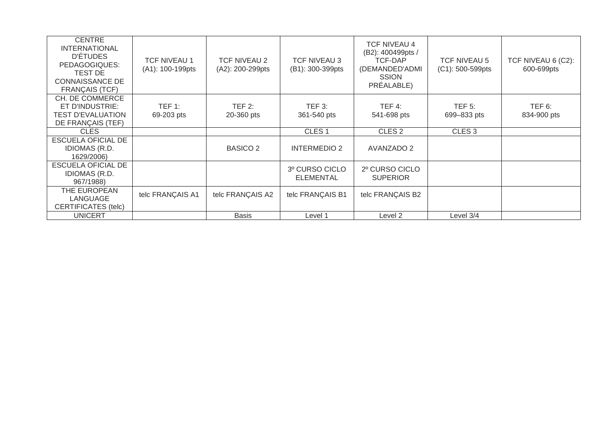| <b>CENTRE</b><br><b>INTERNATIONAL</b><br><b>D'ÉTUDES</b><br>PEDAGOGIQUES:<br>TEST DE<br><b>CONNAISSANCE DE</b><br><b>FRANCAIS (TCF)</b> | <b>TCF NIVEAU 1</b><br>(A1): 100-199pts | <b>TCF NIVEAU 2</b><br>(A2): 200-299pts | TCF NIVEAU 3<br>(B1): 300-399pts | <b>TCF NIVEAU 4</b><br>(B2): 400499pts /<br>TCF-DAP<br>(DEMANDED'ADMI<br><b>SSION</b><br>PRÉALABLE) | <b>TCF NIVEAU 5</b><br>$(C1): 500-599$ pts | TCF NIVEAU 6 (C2):<br>600-699pts |
|-----------------------------------------------------------------------------------------------------------------------------------------|-----------------------------------------|-----------------------------------------|----------------------------------|-----------------------------------------------------------------------------------------------------|--------------------------------------------|----------------------------------|
| CH. DE COMMERCE<br>ET D'INDUSTRIE:<br><b>TEST D'EVALUATION</b><br>DE FRANÇAIS (TEF)                                                     | TEF 1:<br>69-203 pts                    | TEF 2:<br>20-360 pts                    | $TEF$ 3:<br>361-540 pts          | TEF 4:<br>541-698 pts                                                                               | $TEF$ 5:<br>699-833 pts                    | TEF 6:<br>834-900 pts            |
| <b>CLES</b>                                                                                                                             |                                         |                                         | CLES <sub>1</sub>                | CLES <sub>2</sub>                                                                                   | CLES <sub>3</sub>                          |                                  |
| <b>ESCUELA OFICIAL DE</b><br><b>IDIOMAS (R.D.</b><br>1629/2006)                                                                         |                                         | <b>BASICO 2</b>                         | <b>INTERMEDIO 2</b>              | AVANZADO 2                                                                                          |                                            |                                  |
| ESCUELA OFICIAL DE<br><b>IDIOMAS (R.D.</b><br>967/1988)                                                                                 |                                         |                                         | 3º CURSO CICLO<br>ELEMENTAL      | 2º CURSO CICLO<br><b>SUPERIOR</b>                                                                   |                                            |                                  |
| THE EUROPEAN<br>LANGUAGE<br>CERTIFICATES (telc)                                                                                         | telc FRANÇAIS A1                        | telc FRANÇAIS A2                        | telc FRANÇAIS B1                 | telc FRANÇAIS B2                                                                                    |                                            |                                  |
| <b>UNICERT</b>                                                                                                                          |                                         | <b>Basis</b>                            | Level 1                          | Level 2                                                                                             | Level 3/4                                  |                                  |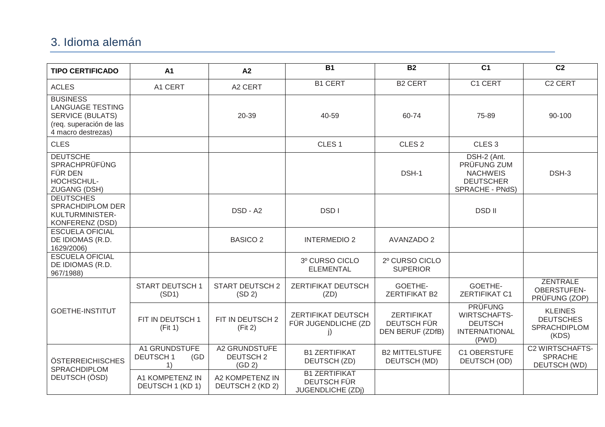#### 3. Idioma alemán

| <b>TIPO CERTIFICADO</b>                                                                                                | A <sub>1</sub>                                        | A2                                         | <b>B1</b>                                                       | <b>B2</b>                                     | $\overline{C1}$                                                                          | $\overline{C2}$                                                    |
|------------------------------------------------------------------------------------------------------------------------|-------------------------------------------------------|--------------------------------------------|-----------------------------------------------------------------|-----------------------------------------------|------------------------------------------------------------------------------------------|--------------------------------------------------------------------|
| <b>ACLES</b>                                                                                                           | A1 CERT                                               | A2 CERT                                    | <b>B1 CERT</b>                                                  | <b>B2 CERT</b>                                | C1 CERT                                                                                  | C <sub>2</sub> CERT                                                |
| <b>BUSINESS</b><br><b>LANGUAGE TESTING</b><br><b>SERVICE (BULATS)</b><br>(req. superación de las<br>4 macro destrezas) |                                                       | 20-39                                      | 40-59                                                           | 60-74                                         | 75-89                                                                                    | 90-100                                                             |
| <b>CLES</b>                                                                                                            |                                                       |                                            | CLES <sub>1</sub>                                               | CLES <sub>2</sub>                             | CLES <sub>3</sub>                                                                        |                                                                    |
| <b>DEUTSCHE</b><br>SPRACHPRÜFÜNG<br>FÜR DEN<br>HOCHSCHUL-<br><b>ZUGANG (DSH)</b>                                       |                                                       |                                            |                                                                 | DSH-1                                         | DSH-2 (Ant.<br>PRÜFUNG ZUM<br><b>NACHWEIS</b><br><b>DEUTSCHER</b><br>SPRACHE - PNdS)     | DSH-3                                                              |
| <b>DEUTSCHES</b><br><b>SPRACHDIPLOM DER</b><br>KULTURMINISTER-<br>KONFERENZ (DSD)                                      |                                                       | DSD - A2                                   | DSD I                                                           |                                               | <b>DSDII</b>                                                                             |                                                                    |
| <b>ESCUELA OFICIAL</b><br>DE IDIOMAS (R.D.<br>1629/2006)                                                               |                                                       | <b>BASICO 2</b>                            | <b>INTERMEDIO 2</b>                                             | <b>AVANZADO 2</b>                             |                                                                                          |                                                                    |
| <b>ESCUELA OFICIAL</b><br>DE IDIOMAS (R.D.<br>967/1988)                                                                |                                                       |                                            | 3º CURSO CICLO<br><b>ELEMENTAL</b>                              | 2º CURSO CICLO<br><b>SUPERIOR</b>             |                                                                                          |                                                                    |
|                                                                                                                        | <b>START DEUTSCH1</b><br>(SD1)                        | <b>START DEUTSCH 2</b><br>(SD 2)           | ZERTIFIKAT DEUTSCH<br>(ZD)                                      | GOETHE-<br><b>ZERTIFIKAT B2</b>               | GOETHE-<br><b>ZERTIFIKAT C1</b>                                                          | <b>ZENTRALE</b><br>OBERSTUFEN-<br>PRÜFUNG (ZOP)                    |
| <b>GOETHE-INSTITUT</b>                                                                                                 | FIT IN DEUTSCH 1<br>(Fit 1)                           | FIT IN DEUTSCH 2<br>(Fit 2)                | ZERTIFIKAT DEUTSCH<br>FÜR JUGENDLICHE (ZD<br>j)                 | ZERTIFIKAT<br>DEUTSCH FÜR<br>DEN BERUF (ZDfB) | <b>PRÜFUNG</b><br><b>WIRTSCHAFTS-</b><br><b>DEUTSCH</b><br><b>INTERNATIONAL</b><br>(PWD) | <b>KLEINES</b><br><b>DEUTSCHES</b><br><b>SPRACHDIPLOM</b><br>(KDS) |
| ÖSTERREICHISCHES<br>SPRACHDIPLOM<br>DEUTSCH (ÖSD)                                                                      | <b>A1 GRUNDSTUFE</b><br><b>DEUTSCH1</b><br>(GD)<br>1) | A2 GRUNDSTUFE<br><b>DEUTSCH2</b><br>(GD 2) | <b>B1 ZERTIFIKAT</b><br>DEUTSCH (ZD)                            | <b>B2 MITTELSTUFE</b><br>DEUTSCH (MD)         | C1 OBERSTUFE<br>DEUTSCH (OD)                                                             | <b>C2 WIRTSCHAFTS-</b><br><b>SPRACHE</b><br>DEUTSCH (WD)           |
|                                                                                                                        | A1 KOMPETENZ IN<br>DEUTSCH 1 (KD 1)                   | A2 KOMPETENZ IN<br>DEUTSCH 2 (KD 2)        | <b>B1 ZERTIFIKAT</b><br>DEUTSCH FÜR<br><b>JUGENDLICHE (ZDj)</b> |                                               |                                                                                          |                                                                    |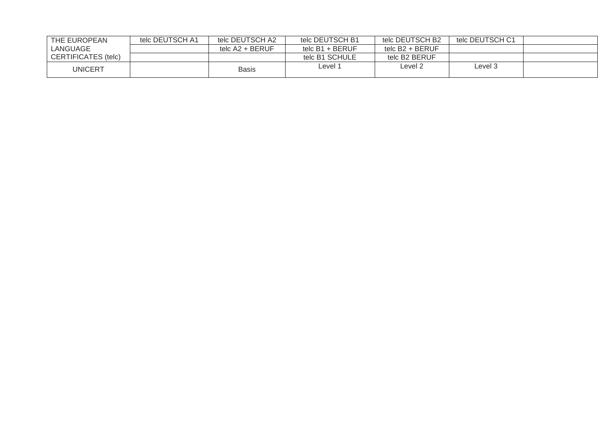| THE EUROPEAN        | telc DEUTSCH A1 | telc DEUTSCH A2   | telc DEUTSCH B1   | telc DEUTSCH B2 | telc DEUTSCH C1 |  |
|---------------------|-----------------|-------------------|-------------------|-----------------|-----------------|--|
| LANGUAGE            |                 | telc $A2 + BERUF$ | telc $B1 + BERUF$ | telc B2 + BERUF |                 |  |
| CERTIFICATES (telc) |                 |                   | telc B1 SCHULE    | telc B2 BERUF   |                 |  |
| UNICERT             |                 | Basis             | Level 1           | evel 2-         | Level 3         |  |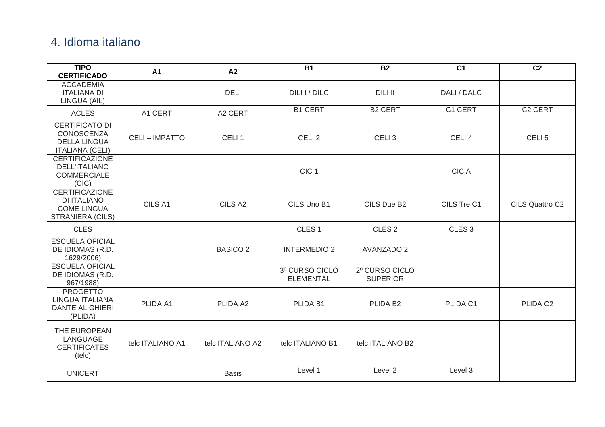#### 4. Idioma italiano

| <b>TIPO</b><br><b>CERTIFICADO</b>                                                     | A <sub>1</sub>        | A2                | <b>B1</b>                          | <b>B2</b>                         | C <sub>1</sub>    | C <sub>2</sub>       |
|---------------------------------------------------------------------------------------|-----------------------|-------------------|------------------------------------|-----------------------------------|-------------------|----------------------|
| <b>ACCADEMIA</b><br><b>ITALIANA DI</b><br>LINGUA (AIL)                                |                       | <b>DELI</b>       | DILI I / DILC                      | <b>DILI II</b>                    | DALI / DALC       |                      |
| <b>ACLES</b>                                                                          | A1 CERT               | A2 CERT           | <b>B1 CERT</b>                     | <b>B2 CERT</b>                    | C1 CERT           | C <sub>2</sub> CERT  |
| CERTIFICATO DI<br><b>CONOSCENZA</b><br><b>DELLA LINGUA</b><br><b>ITALIANA (CELI)</b>  | <b>CELI - IMPATTO</b> | CELI <sub>1</sub> | CELI <sub>2</sub>                  | CELI <sub>3</sub>                 | CELI <sub>4</sub> | CELI <sub>5</sub>    |
| <b>CERTIFICAZIONE</b><br><b>DELL'ITALIANO</b><br><b>COMMERCIALE</b><br>(CIC)          |                       |                   | CIC <sub>1</sub>                   |                                   | <b>CICA</b>       |                      |
| <b>CERTIFICAZIONE</b><br><b>DI ITALIANO</b><br><b>COME LINGUA</b><br>STRANIERA (CILS) | CILS A1               | CILS A2           | CILS Uno B1                        | CILS Due B2                       | CILS Tre C1       | CILS Quattro C2      |
| <b>CLES</b>                                                                           |                       |                   | CLES <sub>1</sub>                  | CLES <sub>2</sub>                 | CLES <sub>3</sub> |                      |
| <b>ESCUELA OFICIAL</b><br>DE IDIOMAS (R.D.<br>1629/2006)                              |                       | <b>BASICO 2</b>   | <b>INTERMEDIO 2</b>                | <b>AVANZADO 2</b>                 |                   |                      |
| <b>ESCUELA OFICIAL</b><br>DE IDIOMAS (R.D.<br>967/1988)                               |                       |                   | 3º CURSO CICLO<br><b>ELEMENTAL</b> | 2º CURSO CICLO<br><b>SUPERIOR</b> |                   |                      |
| <b>PROGETTO</b><br>LINGUA ITALIANA<br><b>DANTE ALIGHIERI</b><br>(PLIDA)               | PLIDA A1              | PLIDA A2          | PLIDA B1                           | PLIDA B <sub>2</sub>              | PLIDA C1          | PLIDA C <sub>2</sub> |
| THE EUROPEAN<br>LANGUAGE<br><b>CERTIFICATES</b><br>(telc)                             | telc ITALIANO A1      | telc ITALIANO A2  | telc ITALIANO B1                   | telc ITALIANO B2                  |                   |                      |
| <b>UNICERT</b>                                                                        |                       | <b>Basis</b>      | Level 1                            | Level 2                           | Level 3           |                      |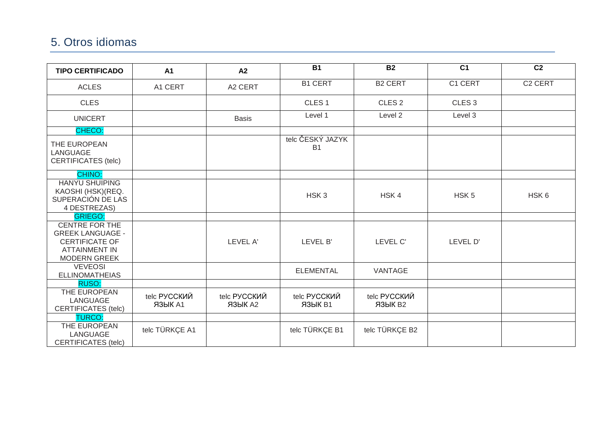### 5. Otros idiomas

| <b>TIPO CERTIFICADO</b>                                                                                                  | A <sub>1</sub>                 | A2                      | $\overline{B1}$               | $\overline{B2}$         | $\overline{C1}$   | $\overline{C2}$     |
|--------------------------------------------------------------------------------------------------------------------------|--------------------------------|-------------------------|-------------------------------|-------------------------|-------------------|---------------------|
| <b>ACLES</b>                                                                                                             | A1 CERT                        | A2 CERT                 | <b>B1 CERT</b>                | <b>B2 CERT</b>          | C1 CERT           | C <sub>2</sub> CERT |
| <b>CLES</b>                                                                                                              |                                |                         | CLES <sub>1</sub>             | CLES <sub>2</sub>       | CLES <sub>3</sub> |                     |
| <b>UNICERT</b>                                                                                                           |                                | <b>Basis</b>            | Level 1                       | Level 2                 | Level 3           |                     |
| CHECO:                                                                                                                   |                                |                         |                               |                         |                   |                     |
| THE EUROPEAN<br>LANGUAGE<br><b>CERTIFICATES (telc)</b>                                                                   |                                |                         | telc ČESKÝ JAZYK<br><b>B1</b> |                         |                   |                     |
| <b>CHINO:</b>                                                                                                            |                                |                         |                               |                         |                   |                     |
| <b>HANYU SHUIPING</b><br>KAOSHI (HSK) (REQ.<br>SUPERACIÓN DE LAS<br>4 DESTREZAS)                                         |                                |                         | HSK <sub>3</sub>              | HSK4                    | HSK <sub>5</sub>  | HSK6                |
| <b>GRIEGO:</b>                                                                                                           |                                |                         |                               |                         |                   |                     |
| <b>CENTRE FOR THE</b><br><b>GREEK LANGUAGE -</b><br><b>CERTIFICATE OF</b><br><b>ATTAINMENT IN</b><br><b>MODERN GREEK</b> |                                | LEVEL A'                | LEVEL B'                      | LEVEL C'                | LEVEL D'          |                     |
| <b>VEVEOSI</b><br><b>ELLINOMATHEIAS</b>                                                                                  |                                |                         | <b>ELEMENTAL</b>              | VANTAGE                 |                   |                     |
| RUSO:                                                                                                                    |                                |                         |                               |                         |                   |                     |
| THE EUROPEAN<br>LANGUAGE<br><b>CERTIFICATES (telc)</b>                                                                   | telc РУССКИЙ<br><b>ЯЗЫК А1</b> | telc РУССКИЙ<br>ЯЗЫК А2 | telc РУССКИЙ<br>ЯЗЫК В1       | telc РУССКИЙ<br>ЯЗЫК В2 |                   |                     |
| <b>TURCO:</b>                                                                                                            |                                |                         |                               |                         |                   |                     |
| THE EUROPEAN<br>LANGUAGE<br><b>CERTIFICATES (telc)</b>                                                                   | telc TÜRKÇE A1                 |                         | telc TÜRKÇE B1                | telc TÜRKÇE B2          |                   |                     |